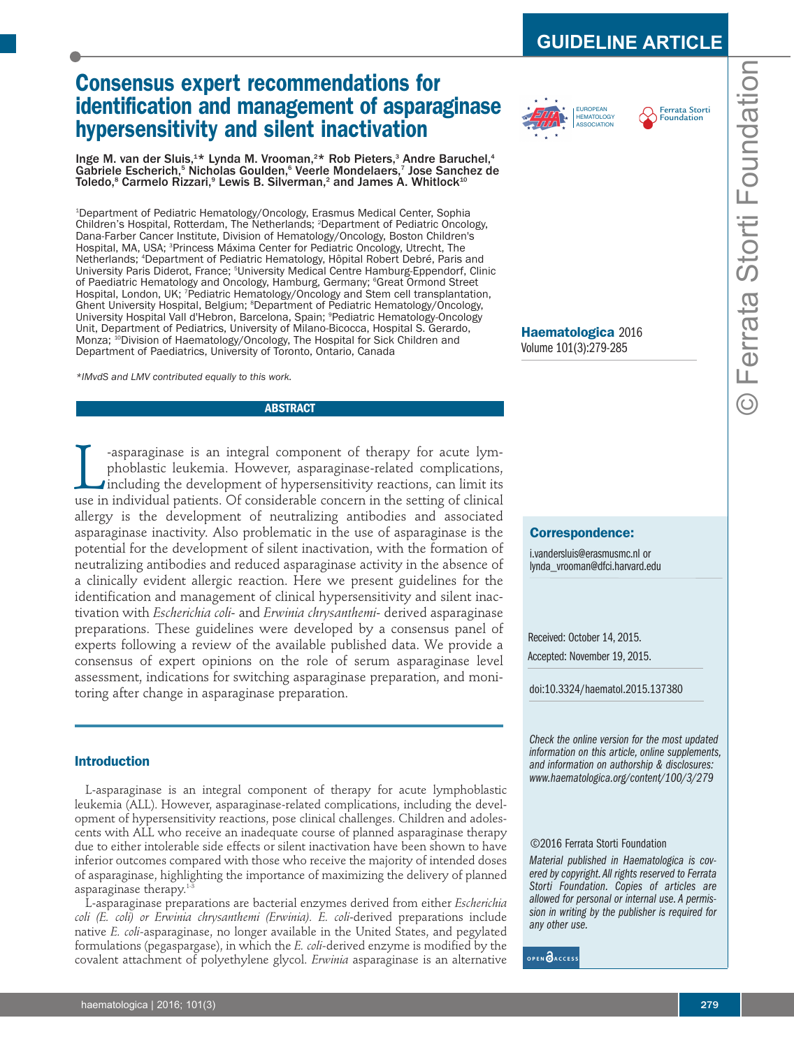# **GUIDELINE ARTICLE**

# **Consensus expert recommendations for identification and management of asparaginase hypersensitivity and silent inactivation**

Inge M. van der Sluis,<sup>1\*</sup> Lynda M. Vrooman,<sup>2\*</sup> Rob Pieters,<sup>3</sup> Andre Baruchel,<sup>4</sup> Gabriele Escherich, <sup>5</sup> Nicholas Goulden, <sup>6</sup> Veerle Mondelaers, <sup>7</sup> Jose Sanchez de Toledo, $^{\rm 8}$  Carmelo Rizzari, $^{\rm 9}$  Lewis B. Silverman, $^{\rm 2}$  and James A. Whitlock $^{\rm 40}$ 

1 Department of Pediatric Hematology/Oncology, Erasmus Medical Center, Sophia Children's Hospital, Rotterdam, The Netherlands; <sup>2</sup>Department of Pediatric Oncology, Dana-Farber Cancer Institute, Division of Hematology/Oncology, Boston Children's Hospital, MA, USA; <sup>3</sup> Princess Máxima Center for Pediatric Oncology, Utrecht, The Netherlands; <sup>4</sup> Department of Pediatric Hematology, Hôpital Robert Debré, Paris and University Paris Diderot, France; <sup>s</sup>University Medical Centre Hamburg-Eppendorf, Clinic of Paediatric Hematology and Oncology, Hamburg, Germany; <sup>6</sup>Great Ormond Street Hospital, London, UK; <sup>7</sup>Pediatric Hematology/Oncology and Stem cell transplantation, Hospital, London, UK; 'Pediatric Hematology/Oncology and Stem cell transplantation,<br>Ghent University Hospital, Belgium; <sup>8</sup>Department of Pediatric Hematology/Oncology, University Hospital Vall d'Hebron, Barcelona, Spain; <sup>s</sup>Pediatric Hematology-Oncology Unit, Department of Pediatrics, University of Milano-Bicocca, Hospital S. Gerardo, Monza;  $^{10}$ Division of Haematology/Oncology, The Hospital for Sick Children and Department of Paediatrics, University of Toronto, Ontario, Canada

*\*IMvdS and LMV contributed equally to this work.*

**ABSTRACT**

asparaginase is an integral component of therapy for acute lym-<br>phoblastic leukemia. However, asparaginase-related complications,<br>including the development of hypersensitivity reactions, can limit its<br>use in individual pat phoblastic leukemia. However, asparaginase-related complications, Including the development of hypersensitivity reactions, can limit its use in individual patients. Of considerable concern in the setting of clinical allergy is the development of neutralizing antibodies and associated asparaginase inactivity. Also problematic in the use of asparaginase is the potential for the development of silent inactivation, with the formation of neutralizing antibodies and reduced asparaginase activity in the absence of a clinically evident allergic reaction. Here we present guidelines for the identification and management of clinical hypersensitivity and silent inactivation with *Escherichia coli*- and *Erwinia chrysanthemi*- derived asparaginase preparations. These guidelines were developed by a consensus panel of experts following a review of the available published data. We provide a consensus of expert opinions on the role of serum asparaginase level assessment, indications for switching asparaginase preparation, and monitoring after change in asparaginase preparation.

## **Introduction**

L-asparaginase is an integral component of therapy for acute lymphoblastic leukemia (ALL). However, asparaginase-related complications, including the development of hypersensitivity reactions, pose clinical challenges. Children and adolescents with ALL who receive an inadequate course of planned asparaginase therapy due to either intolerable side effects or silent inactivation have been shown to have inferior outcomes compared with those who receive the majority of intended doses of asparaginase, highlighting the importance of maximizing the delivery of planned asparaginase therapy. 1-3

L-asparaginase preparations are bacterial enzymes derived from either *Escherichia coli (E. coli) or Erwinia chrysanthemi (Erwinia). E. coli*-derived preparations include native *E. coli-*asparaginase, no longer available in the United States, and pegylated formulations (pegaspargase), in which the *E. coli-*derived enzyme is modified by the covalent attachment of polyethylene glycol. *Erwinia* asparaginase is an alternative





**Haematologica** 2016 Volume 101(3):279-285

## **Correspondence:**

i.vandersluis@erasmusmc.nl or lynda\_vrooman@dfci.harvard.edu

Received: October 14, 2015.

Accepted: November 19, 2015.

doi:10.3324/haematol.2015.137380

*Check the online version for the most updated information on this article, online supplements, and information on authorship & disclosures: www.haematologica.org/content/100/3/279*

#### ©2016 Ferrata Storti Foundation

*Material published in Haematologica is cov- eredby copyright.All rights reservedto Ferrata Storti Foundation. Copies of articles are allowed for personal or internal use. <sup>A</sup> permis- sion in writing by the publisher is required for any other use.*

OPEN OACCESS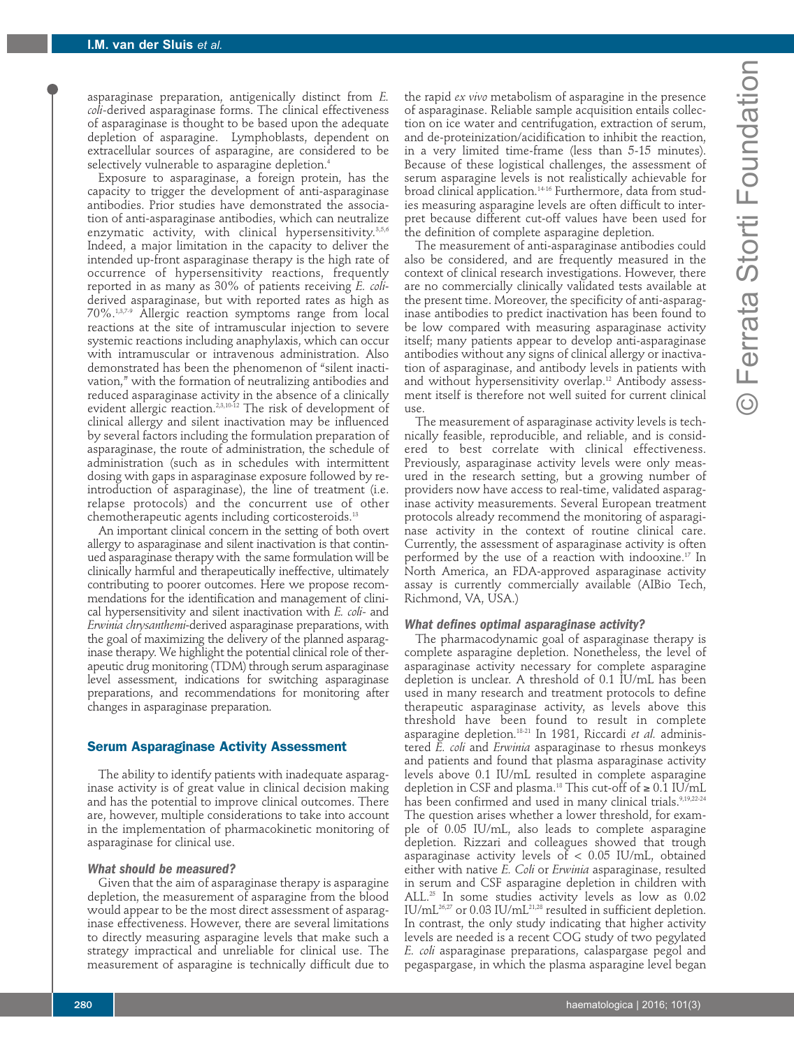asparaginase preparation, antigenically distinct from *E. coli-*derived asparaginase forms. The clinical effectiveness of asparaginase is thought to be based upon the adequate depletion of asparagine. Lymphoblasts, dependent on extracellular sources of asparagine, are considered to be selectively vulnerable to asparagine depletion. 4

Exposure to asparaginase, a foreign protein, has the capacity to trigger the development of anti-asparaginase antibodies. Prior studies have demonstrated the association of anti-asparaginase antibodies, which can neutralize enzymatic activity, with clinical hypersensitivity.<sup>3,5,6</sup> Indeed, a major limitation in the capacity to deliver the intended up-front asparaginase therapy is the high rate of occurrence of hypersensitivity reactions, frequently reported in as many as 30% of patients receiving *E. coli*derived asparaginase, but with reported rates as high as 70%. 1,3,7-9 Allergic reaction symptoms range from local reactions at the site of intramuscular injection to severe systemic reactions including anaphylaxis, which can occur with intramuscular or intravenous administration. Also demonstrated has been the phenomenon of "silent inactivation," with the formation of neutralizing antibodies and reduced asparaginase activity in the absence of a clinically evident allergic reaction. 2,3,10-12 The risk of development of clinical allergy and silent inactivation may be influenced by several factors including the formulation preparation of asparaginase, the route of administration, the schedule of administration (such as in schedules with intermittent dosing with gaps in asparaginase exposure followed by reintroduction of asparaginase), the line of treatment (i.e. relapse protocols) and the concurrent use of other chemotherapeutic agents including corticosteroids. 13

An important clinical concern in the setting of both overt allergy to asparaginase and silent inactivation is that continued asparaginase therapy with the same formulation will be clinically harmful and therapeutically ineffective, ultimately contributing to poorer outcomes. Here we propose recommendations for the identification and management of clinical hypersensitivity and silent inactivation with *E. coli-* and *Erwinia chrysanthemi*-derived asparaginase preparations, with the goal of maximizing the delivery of the planned asparaginase therapy. We highlight the potential clinical role of therapeutic drug monitoring (TDM) through serum asparaginase level assessment, indications for switching asparaginase preparations, and recommendations for monitoring after changes in asparaginase preparation.

## **Serum Asparaginase Activity Assessment**

The ability to identify patients with inadequate asparaginase activity is of great value in clinical decision making and has the potential to improve clinical outcomes. There are, however, multiple considerations to take into account in the implementation of pharmacokinetic monitoring of asparaginase for clinical use.

#### *What should be measured?*

Given that the aim of asparaginase therapy is asparagine depletion, the measurement of asparagine from the blood would appear to be the most direct assessment of asparaginase effectiveness. However, there are several limitations to directly measuring asparagine levels that make such a strategy impractical and unreliable for clinical use. The measurement of asparagine is technically difficult due to

the rapid *ex vivo* metabolism of asparagine in the presence of asparaginase. Reliable sample acquisition entails collection on ice water and centrifugation, extraction of serum, and de-proteinization/acidification to inhibit the reaction, in a very limited time-frame (less than 5-15 minutes). Because of these logistical challenges, the assessment of serum asparagine levels is not realistically achievable for broad clinical application. 14-16 Furthermore, data from studies measuring asparagine levels are often difficult to interpret because different cut-off values have been used for the definition of complete asparagine depletion.

The measurement of anti-asparaginase antibodies could also be considered, and are frequently measured in the context of clinical research investigations. However, there are no commercially clinically validated tests available at the present time. Moreover, the specificity of anti-asparaginase antibodies to predict inactivation has been found to be low compared with measuring asparaginase activity itself; many patients appear to develop anti-asparaginase antibodies without any signs of clinical allergy or inactivation of asparaginase, and antibody levels in patients with and without hypersensitivity overlap. <sup>12</sup> Antibody assessment itself is therefore not well suited for current clinical use.

The measurement of asparaginase activity levels is technically feasible, reproducible, and reliable, and is considered to best correlate with clinical effectiveness. Previously, asparaginase activity levels were only measured in the research setting, but a growing number of providers now have access to real-time, validated asparaginase activity measurements. Several European treatment protocols already recommend the monitoring of asparaginase activity in the context of routine clinical care. Currently, the assessment of asparaginase activity is often performed by the use of a reaction with indooxine. <sup>17</sup> In North America, an FDA-approved asparaginase activity assay is currently commercially available (AIBio Tech, Richmond, VA, USA.)

#### *What defines optimal asparaginase activity?*

The pharmacodynamic goal of asparaginase therapy is complete asparagine depletion. Nonetheless, the level of asparaginase activity necessary for complete asparagine depletion is unclear. A threshold of 0.1 IU/mL has been used in many research and treatment protocols to define therapeutic asparaginase activity, as levels above this threshold have been found to result in complete asparagine depletion. 18-21 In 1981, Riccardi *et al.* administered *E. coli* and *Erwinia* asparaginase to rhesus monkeys and patients and found that plasma asparaginase activity levels above 0.1 IU/mL resulted in complete asparagine depletion in CSF and plasma.<sup>18</sup> This cut-off of  $\geq 0.1$  IU/mL has been confirmed and used in many clinical trials. 9,19,22-24 The question arises whether a lower threshold, for example of 0.05 IU/mL, also leads to complete asparagine depletion. Rizzari and colleagues showed that trough asparaginase activity levels of  $< 0.05$  IU/mL, obtained either with native *E. Coli* or *Erwinia* asparaginase, resulted in serum and CSF asparagine depletion in children with ALL. <sup>25</sup> In some studies activity levels as low as 0.02 IU/mL26,27 or 0.03 IU/mL21,28 resulted in sufficient depletion. In contrast, the only study indicating that higher activity levels are needed is a recent COG study of two pegylated *E. coli* asparaginase preparations, calaspargase pegol and pegaspargase, in which the plasma asparagine level began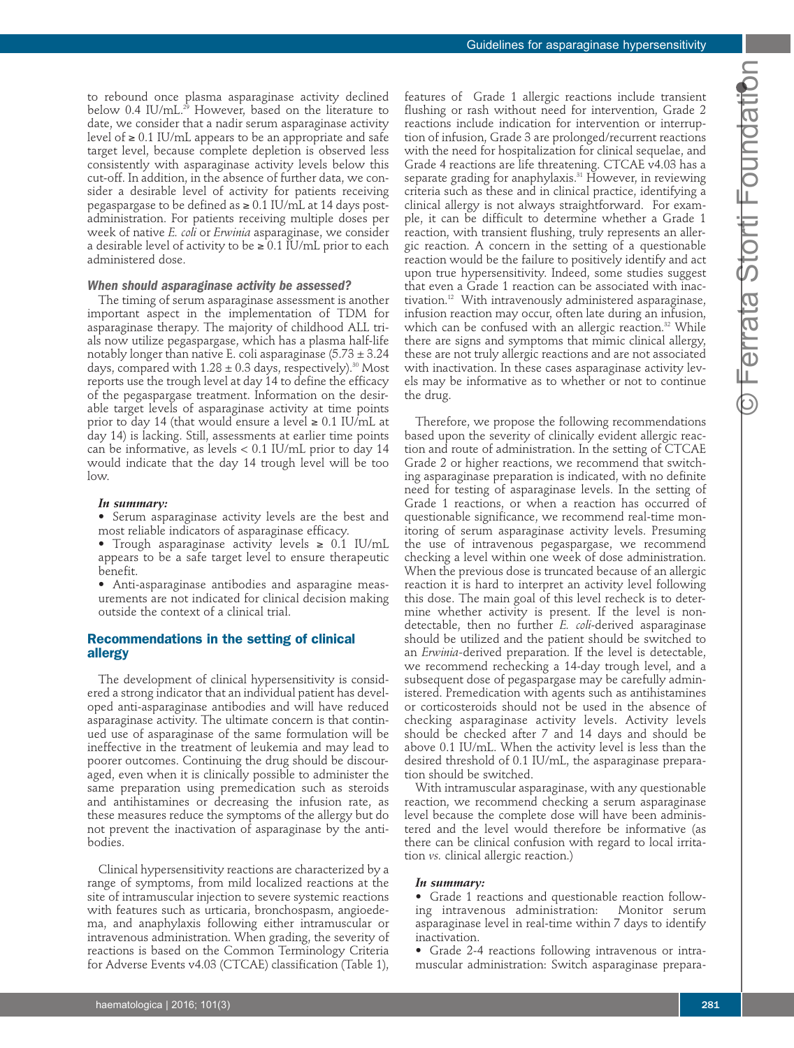to rebound once plasma asparaginase activity declined below 0.4 IU/mL. <sup>29</sup> However, based on the literature to date, we consider that a nadir serum asparaginase activity level of  $≥ 0.1$  IU/mL appears to be an appropriate and safe target level, because complete depletion is observed less consistently with asparaginase activity levels below this cut-off. In addition, in the absence of further data, we consider a desirable level of activity for patients receiving pegaspargase to be defined as  $\geq$  0.1 IU/mL at 14 days postadministration. For patients receiving multiple doses per week of native *E. coli* or *Erwinia* asparaginase, we consider a desirable level of activity to be  $\geq 0.1$  IU/mL prior to each administered dose.

#### *When should asparaginase activity be assessed?*

The timing of serum asparaginase assessment is another important aspect in the implementation of TDM for asparaginase therapy. The majority of childhood ALL trials now utilize pegaspargase, which has a plasma half-life notably longer than native E. coli asparaginase  $(5.73 \pm 3.24)$ days, compared with  $1.28\pm0.3$  days, respectively). $^{\text{30}}$  Most reports use the trough level at day 14 to define the efficacy of the pegaspargase treatment. Information on the desirable target levels of asparaginase activity at time points prior to day 14 (that would ensure a level ≥ 0.1 IU/mL at day 14) is lacking. Still, assessments at earlier time points can be informative, as levels < 0.1 IU/mL prior to day 14 would indicate that the day 14 trough level will be too low.

#### *In summary:*

• Serum asparaginase activity levels are the best and most reliable indicators of asparaginase efficacy.

• Trough asparaginase activity levels ≥ 0.1 IU/mL appears to be a safe target level to ensure therapeutic benefit.

• Anti-asparaginase antibodies and asparagine measurements are not indicated for clinical decision making outside the context of a clinical trial.

## **Recommendations in the setting of clinical allergy**

The development of clinical hypersensitivity is considered a strong indicator that an individual patient has developed anti-asparaginase antibodies and will have reduced asparaginase activity. The ultimate concern is that continued use of asparaginase of the same formulation will be ineffective in the treatment of leukemia and may lead to poorer outcomes. Continuing the drug should be discouraged, even when it is clinically possible to administer the same preparation using premedication such as steroids and antihistamines or decreasing the infusion rate, as these measures reduce the symptoms of the allergy but do not prevent the inactivation of asparaginase by the antibodies.

Clinical hypersensitivity reactions are characterized by a range of symptoms, from mild localized reactions at the site of intramuscular injection to severe systemic reactions with features such as urticaria, bronchospasm, angioedema, and anaphylaxis following either intramuscular or intravenous administration. When grading, the severity of reactions is based on the Common Terminology Criteria for Adverse Events v4.03 (CTCAE) classification (Table 1),

features of Grade 1 allergic reactions include transient flushing or rash without need for intervention, Grade 2 reactions include indication for intervention or interruption of infusion, Grade 3 are prolonged/recurrent reactions with the need for hospitalization for clinical sequelae, and Grade 4 reactions are life threatening. CTCAE v4.03 has a separate grading for anaphylaxis. <sup>31</sup> However, in reviewing criteria such as these and in clinical practice, identifying a clinical allergy is not always straightforward. For example, it can be difficult to determine whether a Grade 1 reaction, with transient flushing, truly represents an allergic reaction. A concern in the setting of a questionable reaction would be the failure to positively identify and act upon true hypersensitivity. Indeed, some studies suggest that even a Grade 1 reaction can be associated with inactivation. <sup>12</sup> With intravenously administered asparaginase, infusion reaction may occur, often late during an infusion, which can be confused with an allergic reaction. <sup>32</sup> While there are signs and symptoms that mimic clinical allergy, these are not truly allergic reactions and are not associated with inactivation. In these cases asparaginase activity levels may be informative as to whether or not to continue the drug.

Therefore, we propose the following recommendations based upon the severity of clinically evident allergic reaction and route of administration. In the setting of CTCAE Grade 2 or higher reactions, we recommend that switching asparaginase preparation is indicated, with no definite need for testing of asparaginase levels. In the setting of Grade 1 reactions, or when a reaction has occurred of questionable significance, we recommend real-time monitoring of serum asparaginase activity levels. Presuming the use of intravenous pegaspargase, we recommend checking a level within one week of dose administration. When the previous dose is truncated because of an allergic reaction it is hard to interpret an activity level following this dose. The main goal of this level recheck is to determine whether activity is present. If the level is nondetectable, then no further *E. coli*-derived asparaginase should be utilized and the patient should be switched to an *Erwinia-*derived preparation. If the level is detectable, we recommend rechecking a 14-day trough level, and a subsequent dose of pegaspargase may be carefully administered. Premedication with agents such as antihistamines or corticosteroids should not be used in the absence of checking asparaginase activity levels. Activity levels should be checked after 7 and 14 days and should be above 0.1 IU/mL. When the activity level is less than the desired threshold of 0.1 IU/mL, the asparaginase preparation should be switched.

With intramuscular asparaginase, with any questionable reaction, we recommend checking a serum asparaginase level because the complete dose will have been administered and the level would therefore be informative (as there can be clinical confusion with regard to local irritation *vs.* clinical allergic reaction.)

#### *In summary:*

• Grade 1 reactions and questionable reaction following intravenous administration: Monitor serum asparaginase level in real-time within 7 days to identify inactivation.

• Grade 2-4 reactions following intravenous or intramuscular administration: Switch asparaginase prepara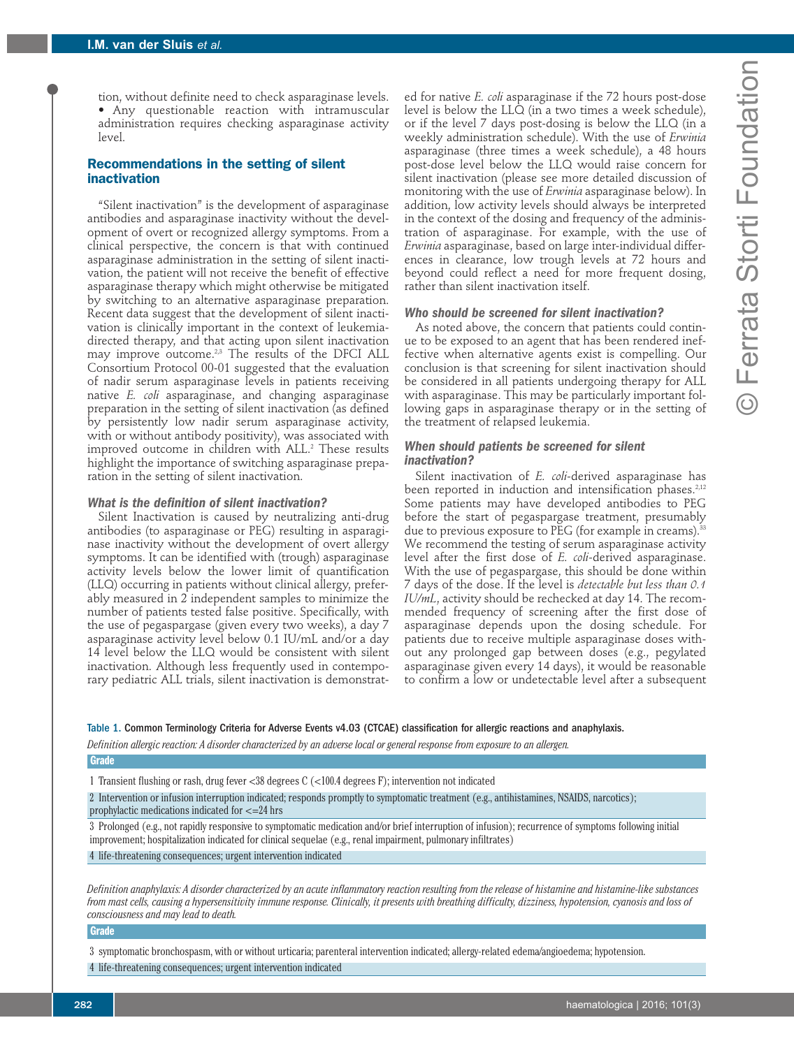tion, without definite need to check asparaginase levels. • Any questionable reaction with intramuscular administration requires checking asparaginase activity level.

## **Recommendations in the setting of silent inactivation**

"Silent inactivation" is the development of asparaginase antibodies and asparaginase inactivity without the development of overt or recognized allergy symptoms. From a clinical perspective, the concern is that with continued asparaginase administration in the setting of silent inactivation, the patient will not receive the benefit of effective asparaginase therapy which might otherwise be mitigated by switching to an alternative asparaginase preparation. Recent data suggest that the development of silent inactivation is clinically important in the context of leukemiadirected therapy, and that acting upon silent inactivation may improve outcome. 2,3 The results of the DFCI ALL Consortium Protocol 00-01 suggested that the evaluation of nadir serum asparaginase levels in patients receiving native *E. coli* asparaginase, and changing asparaginase preparation in the setting of silent inactivation (as defined by persistently low nadir serum asparaginase activity, with or without antibody positivity), was associated with improved outcome in children with ALL. <sup>2</sup> These results highlight the importance of switching asparaginase preparation in the setting of silent inactivation.

## *What is the definition of silent inactivation?*

Silent Inactivation is caused by neutralizing anti-drug antibodies (to asparaginase or PEG) resulting in asparaginase inactivity without the development of overt allergy symptoms. It can be identified with (trough) asparaginase activity levels below the lower limit of quantification (LLQ) occurring in patients without clinical allergy, preferably measured in 2 independent samples to minimize the number of patients tested false positive. Specifically, with the use of pegaspargase (given every two weeks), a day 7 asparaginase activity level below 0.1 IU/mL and/or a day 14 level below the LLQ would be consistent with silent inactivation. Although less frequently used in contemporary pediatric ALL trials, silent inactivation is demonstrat-

ed for native *E. coli* asparaginase if the 72 hours post-dose level is below the LLQ (in a two times a week schedule), or if the level 7 days post-dosing is below the LLQ (in a weekly administration schedule). With the use of *Erwinia* asparaginase (three times a week schedule), a 48 hours post-dose level below the LLQ would raise concern for silent inactivation (please see more detailed discussion of monitoring with the use of *Erwinia* asparaginase below). In addition, low activity levels should always be interpreted in the context of the dosing and frequency of the administration of asparaginase. For example, with the use of *Erwinia* asparaginase, based on large inter-individual differences in clearance, low trough levels at 72 hours and beyond could reflect a need for more frequent dosing, rather than silent inactivation itself.

#### *Who should be screened for silent inactivation?*

As noted above, the concern that patients could continue to be exposed to an agent that has been rendered ineffective when alternative agents exist is compelling. Our conclusion is that screening for silent inactivation should be considered in all patients undergoing therapy for ALL with asparaginase. This may be particularly important following gaps in asparaginase therapy or in the setting of the treatment of relapsed leukemia.

### *When should patients be screened for silent inactivation?*

Silent inactivation of *E. coli-*derived asparaginase has been reported in induction and intensification phases. 2,12 Some patients may have developed antibodies to PEG before the start of pegaspargase treatment, presumably due to previous exposure to PEG (for example in creams). 33 We recommend the testing of serum asparaginase activity level after the first dose of *E. coli-*derived asparaginase. With the use of pegaspargase, this should be done within 7 days of the dose. If the level is *detectable but less than 0.1 IU/mL*, activity should be rechecked at day 14. The recommended frequency of screening after the first dose of asparaginase depends upon the dosing schedule. For patients due to receive multiple asparaginase doses without any prolonged gap between doses (e.g., pegylated asparaginase given every 14 days), it would be reasonable to confirm a low or undetectable level after a subsequent

Table 1. Common Terminology Criteria for Adverse Events v4.03 (CTCAE) classification for allergic reactions and anaphylaxis.

*Definition allergic reaction: A disorder characterized by an adverse local or general response from exposure to an allergen.* **Grade**

1 Transient flushing or rash, drugfever <38 degrees C (<100.4 degrees F); intervention not indicated

2 Intervention or infusion interruption indicated; responds promptly to symptomatic treatment (e.g., antihistamines, NSAIDS, narcotics); prophylactic medications indicated for  $\epsilon$ =24 hrs

3 Prolonged (e.g., not rapidly responsive to symptomatic medication and/or brief interruption of infusion); recurrence of symptoms following initial improvement; hospitalization indicated for clinical sequelae (e.g., renal impairment, pulmonary infiltrates)

4 life-threatening consequences; urgent intervention indicated

Definition anaphylaxis: A disorder characterized by an acute inflammatory reaction resulting from the release of histamine and histamine-like substances from mast cells, causing a hypersensitivity immune response. Clinically, it presents with breathing difficulty, dizziness, hypotension, cyanosis and loss of *consciousness and maylead to death.*

#### **Grade**

3 symptomatic bronchospasm, with or without urticaria; parenteral intervention indicated;allergy-related edema/angioedema; hypotension. 4 life-threatening consequences; urgent intervention indicated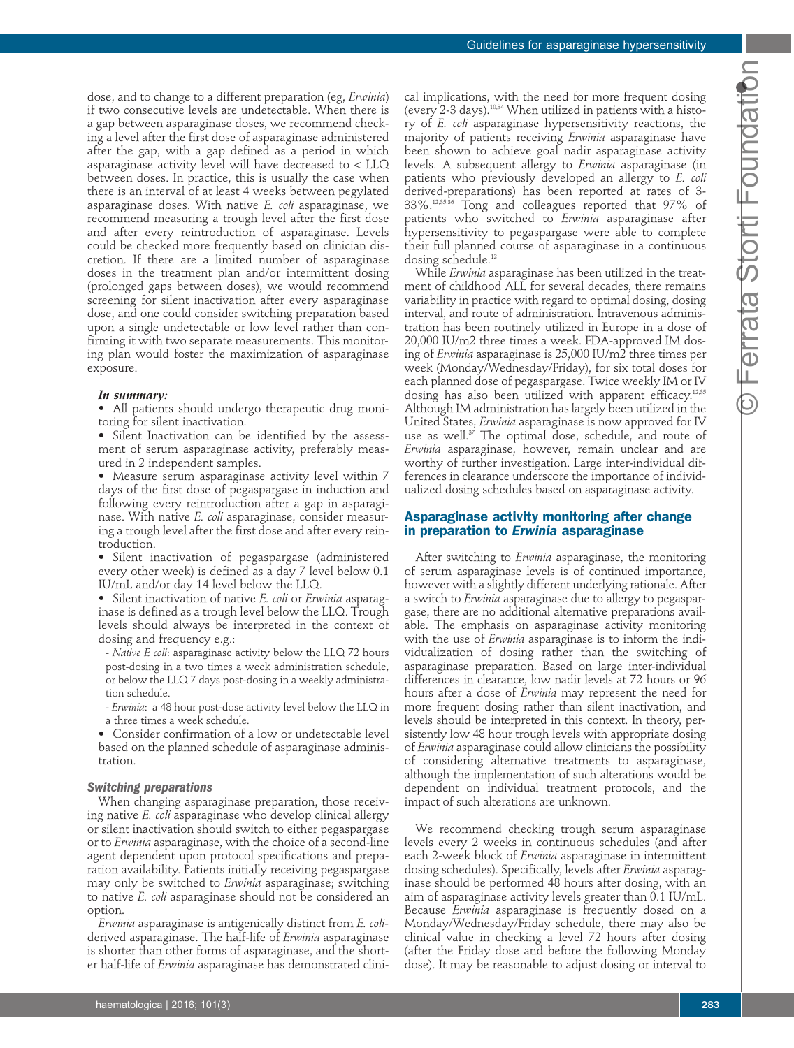dose, and to change to a different preparation (eg, *Erwinia*) if two consecutive levels are undetectable. When there is a gap between asparaginase doses, we recommend checking a level after the first dose of asparaginase administered after the gap, with a gap defined as a period in which asparaginase activity level will have decreased to < LLQ between doses. In practice, this is usually the case when there is an interval of at least 4 weeks between pegylated asparaginase doses. With native *E. coli* asparaginase, we recommend measuring a trough level after the first dose and after every reintroduction of asparaginase. Levels could be checked more frequently based on clinician discretion. If there are a limited number of asparaginase doses in the treatment plan and/or intermittent dosing (prolonged gaps between doses), we would recommend screening for silent inactivation after every asparaginase dose, and one could consider switching preparation based upon a single undetectable or low level rather than confirming it with two separate measurements. This monitoring plan would foster the maximization of asparaginase exposure.

#### *In summary:*

• All patients should undergo therapeutic drug monitoring for silent inactivation.

• Silent Inactivation can be identified by the assessment of serum asparaginase activity, preferably measured in 2 independent samples.

• Measure serum asparaginase activity level within 7 days of the first dose of pegaspargase in induction and following every reintroduction after a gap in asparaginase. With native *E. coli* asparaginase, consider measuring a trough level after the first dose and after every reintroduction.

• Silent inactivation of pegaspargase (administered every other week) is defined as a day 7 level below 0.1 IU/mL and/or day 14 level below the LLQ.

• Silent inactivation of native *E. coli* or *Erwinia* asparaginase is defined as a trough level below the LLQ. Trough levels should always be interpreted in the context of dosing and frequency e.g.:

- *Native E coli*: asparaginase activity below the LLQ 72 hours post-dosing in a two times a week administration schedule, or below the LLQ 7 days post-dosing in a weekly administration schedule.

- *Erwinia*: a 48 hour post-dose activity level below the LLQ in a three times a week schedule.

• Consider confirmation of a low or undetectable level based on the planned schedule of asparaginase administration.

## *Switching preparations*

When changing asparaginase preparation, those receiving native *E. coli* asparaginase who develop clinical allergy or silent inactivation should switch to either pegaspargase or to *Erwinia* asparaginase, with the choice of a second-line agent dependent upon protocol specifications and preparation availability. Patients initially receiving pegaspargase may only be switched to *Erwinia* asparaginase; switching to native *E. coli* asparaginase should not be considered an option.

*Erwinia* asparaginase is antigenically distinct from *E. coli*derived asparaginase. The half-life of *Erwinia* asparaginase is shorter than other forms of asparaginase, and the shorter half-life of *Erwinia* asparaginase has demonstrated clinical implications, with the need for more frequent dosing (every 2-3 days). 10,34 When utilized in patients with a history of *E. coli* asparaginase hypersensitivity reactions, the majority of patients receiving *Erwinia* asparaginase have been shown to achieve goal nadir asparaginase activity levels. A subsequent allergy to *Erwinia* asparaginase (in patients who previously developed an allergy to *E. coli* derived-preparations) has been reported at rates of 3- 33%. 12,35,36 Tong and colleagues reported that 97% of patients who switched to *Erwinia* asparaginase after hypersensitivity to pegaspargase were able to complete their full planned course of asparaginase in a continuous dosing schedule. 12

While *Erwinia* asparaginase has been utilized in the treatment of childhood ALL for several decades, there remains variability in practice with regard to optimal dosing, dosing interval, and route of administration. Intravenous administration has been routinely utilized in Europe in a dose of 20,000 IU/m2 three times a week. FDA-approved IM dosing of *Erwinia* asparaginase is 25,000 IU/m2 three times per week (Monday/Wednesday/Friday), for six total doses for each planned dose of pegaspargase. Twice weekly IM or IV dosing has also been utilized with apparent efficacy. 12,35 Although IM administration has largely been utilized in the United States, *Erwinia* asparaginase is now approved for IV use as well. <sup>37</sup> The optimal dose, schedule, and route of *Erwinia* asparaginase, however, remain unclear and are worthy of further investigation. Large inter-individual differences in clearance underscore the importance of individualized dosing schedules based on asparaginase activity.

## **Asparaginase activity monitoring after change in preparation to** *Erwinia* **asparaginase**

After switching to *Erwinia* asparaginase, the monitoring of serum asparaginase levels is of continued importance, however with a slightly different underlying rationale. After a switch to *Erwinia* asparaginase due to allergy to pegaspargase, there are no additional alternative preparations available. The emphasis on asparaginase activity monitoring with the use of *Erwinia* asparaginase is to inform the individualization of dosing rather than the switching of asparaginase preparation. Based on large inter-individual differences in clearance, low nadir levels at 72 hours or 96 hours after a dose of *Erwinia* may represent the need for more frequent dosing rather than silent inactivation, and levels should be interpreted in this context. In theory, persistently low 48 hour trough levels with appropriate dosing of *Erwinia* asparaginase could allow clinicians the possibility of considering alternative treatments to asparaginase, although the implementation of such alterations would be dependent on individual treatment protocols, and the impact of such alterations are unknown.

We recommend checking trough serum asparaginase levels every 2 weeks in continuous schedules (and after each 2-week block of *Erwinia* asparaginase in intermittent dosing schedules). Specifically, levels after *Erwinia* asparaginase should be performed 48 hours after dosing, with an aim of asparaginase activity levels greater than 0.1 IU/mL. Because *Erwinia* asparaginase is frequently dosed on a Monday/Wednesday/Friday schedule, there may also be clinical value in checking a level 72 hours after dosing (after the Friday dose and before the following Monday dose). It may be reasonable to adjust dosing or interval to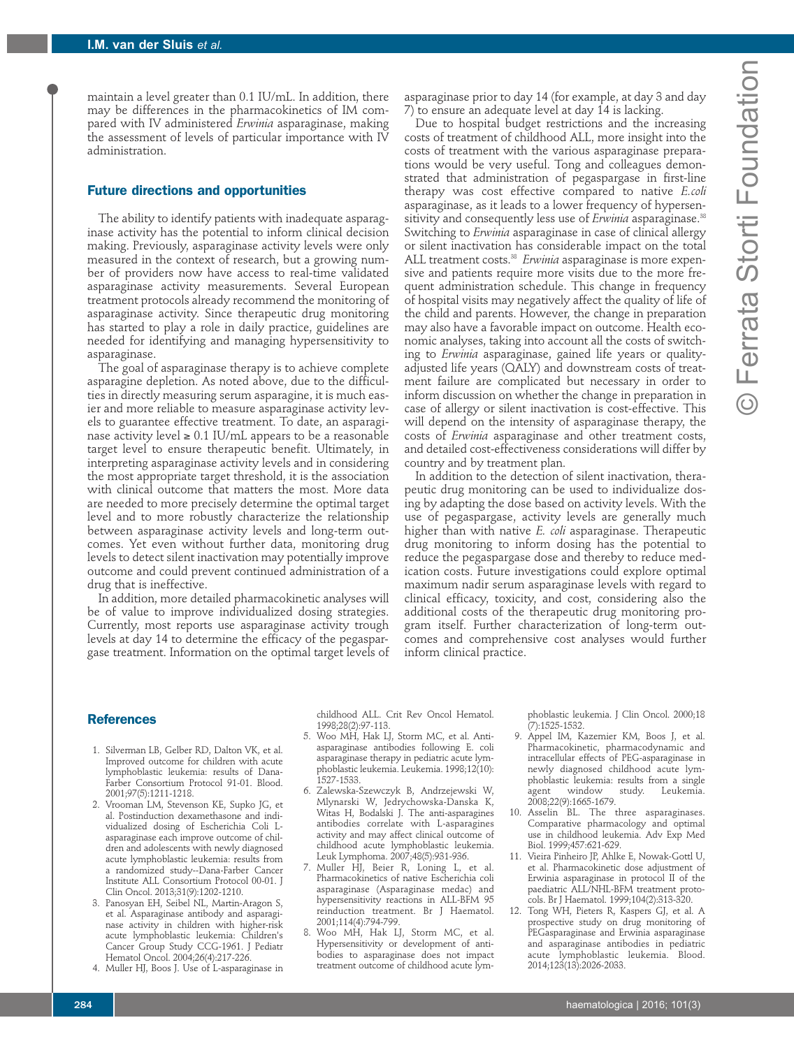maintain a level greater than 0.1 IU/mL. In addition, there may be differences in the pharmacokinetics of IM compared with IV administered *Erwinia* asparaginase, making the assessment of levels of particular importance with  $\bar{N}$ administration.

## **Future directions and opportunities**

The ability to identify patients with inadequate asparaginase activity has the potential to inform clinical decision making. Previously, asparaginase activity levels were only measured in the context of research, but a growing number of providers now have access to real-time validated asparaginase activity measurements. Several European treatment protocols already recommend the monitoring of asparaginase activity. Since therapeutic drug monitoring has started to play a role in daily practice, guidelines are needed for identifying and managing hypersensitivity to asparaginase.

The goal of asparaginase therapy is to achieve complete asparagine depletion. As noted above, due to the difficulties in directly measuring serum asparagine, it is much easier and more reliable to measure asparaginase activity levels to guarantee effective treatment. To date, an asparaginase activity level  $\geq 0.1$  IU/mL appears to be a reasonable target level to ensure therapeutic benefit. Ultimately, in interpreting asparaginase activity levels and in considering the most appropriate target threshold, it is the association with clinical outcome that matters the most. More data are needed to more precisely determine the optimal target level and to more robustly characterize the relationship between asparaginase activity levels and long-term outcomes. Yet even without further data, monitoring drug levels to detect silent inactivation may potentially improve outcome and could prevent continued administration of a drug that is ineffective.

In addition, more detailed pharmacokinetic analyses will be of value to improve individualized dosing strategies. Currently, most reports use asparaginase activity trough levels at day 14 to determine the efficacy of the pegaspargase treatment. Information on the optimal target levels of © Ferrata Storti Foundation © Ferrata Storti Foundation

asparaginase prior to day 14 (for example, at day 3 and day 7) to ensure an adequate level at day 14 is lacking.

Due to hospital budget restrictions and the increasing costs of treatment of childhood ALL, more insight into the costs of treatment with the various asparaginase preparations would be very useful. Tong and colleagues demonstrated that administration of pegaspargase in first-line therapy was cost effective compared to native *E.coli* asparaginase, as it leads to a lower frequency of hypersensitivity and consequently less use of *Erwinia* asparaginase. 38 Switching to *Erwinia* asparaginase in case of clinical allergy or silent inactivation has considerable impact on the total ALL treatment costs. <sup>38</sup> *Erwinia* asparaginase is more expensive and patients require more visits due to the more frequent administration schedule. This change in frequency of hospital visits may negatively affect the quality of life of the child and parents. However, the change in preparation may also have a favorable impact on outcome. Health economic analyses, taking into account all the costs of switching to *Erwinia* asparaginase, gained life years or qualityadjusted life years (QALY) and downstream costs of treatment failure are complicated but necessary in order to inform discussion on whether the change in preparation in case of allergy or silent inactivation is cost-effective. This will depend on the intensity of asparaginase therapy, the costs of *Erwinia* asparaginase and other treatment costs, and detailed cost-effectiveness considerations will differ by country and by treatment plan.

In addition to the detection of silent inactivation, therapeutic drug monitoring can be used to individualize dosing by adapting the dose based on activity levels. With the use of pegaspargase, activity levels are generally much higher than with native *E. coli* asparaginase. Therapeutic drug monitoring to inform dosing has the potential to reduce the pegaspargase dose and thereby to reduce medication costs. Future investigations could explore optimal maximum nadir serum asparaginase levels with regard to clinical efficacy, toxicity, and cost, considering also the additional costs of the therapeutic drug monitoring program itself. Further characterization of long-term outcomes and comprehensive cost analyses would further inform clinical practice.

### **References**

- 1. Silverman LB, Gelber RD, Dalton VK, et al. Improved outcome for children with acute lymphoblastic leukemia: results of Dana-Farber Consortium Protocol 91-01. Blood. 2001;97(5):1211-1218.
- 2. Vrooman LM, Stevenson KE, Supko JG, et al. Postinduction dexamethasone and individualized dosing of Escherichia Coli Lasparaginase each improve outcome of children and adolescents with newly diagnosed acute lymphoblastic leukemia: results from a randomized study--Dana-Farber Cancer Institute ALL Consortium Protocol 00-01. J Clin Oncol. 2013;31(9):1202-1210.
- 3. Panosyan EH, Seibel NL, Martin-Aragon S, et al. Asparaginase antibody and asparaginase activity in children with higher-risk acute lymphoblastic leukemia: Children's Cancer Group Study CCG-1961. J Pediatr Hematol Oncol. 2004;26(4):217-226.
- 4. Muller HJ, Boos J. Use of L-asparaginase in

childhood ALL. Crit Rev Oncol Hematol. 1998;28(2):97-113.

- 5. Woo MH, Hak LJ, Storm MC, et al. Antiasparaginase antibodies following E. coli asparaginase therapy in pediatric acute lymphoblastic leukemia. Leukemia. 1998;12(10): 1527-1533.
- 6. Zalewska-Szewczyk B, Andrzejewski W, Mlynarski W, Jedrychowska-Danska K, Witas H, Bodalski J. The anti-asparagines antibodies correlate with L-asparagines activity and may affect clinical outcome of childhood acute lymphoblastic leukemia. Leuk Lymphoma. 2007;48(5):931-936.
- 7. Muller HJ, Beier R, Loning L, et al. Pharmacokinetics of native Escherichia coli asparaginase (Asparaginase medac) and hypersensitivity reactions in ALL-BFM 95 reinduction treatment. Br J Haematol. 2001;114(4):794-799.
- 8. Woo MH, Hak LJ, Storm MC, et al. Hypersensitivity or development of antibodies to asparaginase does not impact treatment outcome of childhood acute lym-

phoblastic leukemia. J Clin Oncol. 2000;18 (7):1525-1532.

- 9. Appel IM, Kazemier KM, Boos J, et al. Pharmacokinetic, pharmacodynamic and intracellular effects of PEG-asparaginase in newly diagnosed childhood acute lymphoblastic leukemia: results from a single<br>agent window study. Leukemia. agent window study. Leukemia. 2008;22(9):1665-1679.
- 10. Asselin BL. The three asparaginases. Comparative pharmacology and optimal use in childhood leukemia. Adv Exp Med Biol. 1999;457:621-629.
- 11. Vieira Pinheiro JP, Ahlke E, Nowak-Gottl U, et al. Pharmacokinetic dose adjustment of Erwinia asparaginase in protocol II of the paediatric ALL/NHL-BFM treatment protocols. Br J Haematol. 1999;104(2):313-320.
- 12. Tong WH, Pieters R, Kaspers GJ, et al. A prospective study on drug monitoring of PEGasparaginase and Erwinia asparaginase and asparaginase antibodies in pediatric acute lymphoblastic leukemia. Blood. 2014;123(13):2026-2033.